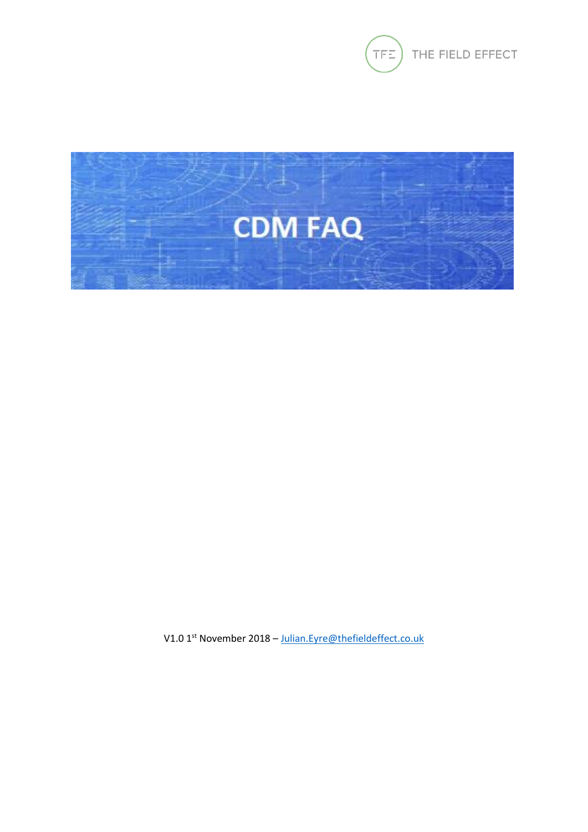



V1.0 1<sup>st</sup> November 2018 - Julian. Eyre@thefieldeffect.co.uk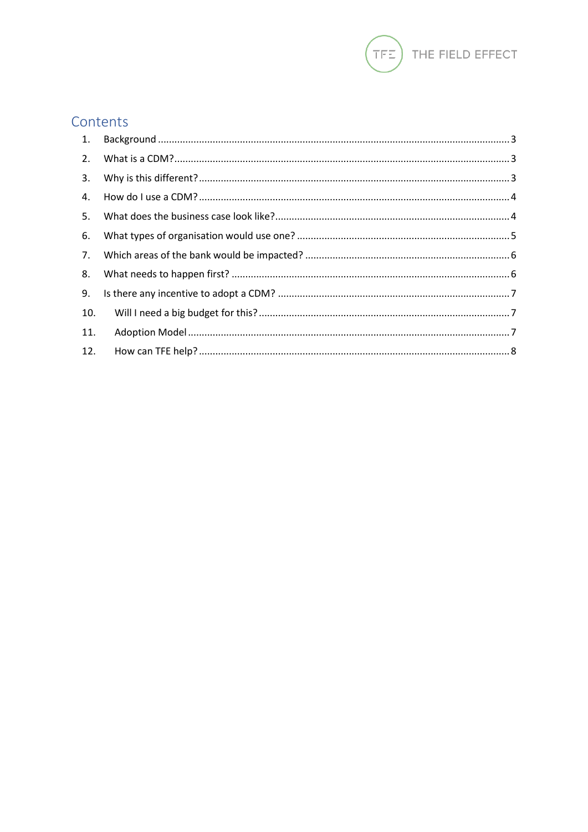

# Contents

| 1.  |  |
|-----|--|
| 2.  |  |
| 3.  |  |
| 4.  |  |
| 5.  |  |
| 6.  |  |
| 7.  |  |
| 8.  |  |
| 9.  |  |
| 10. |  |
| 11. |  |
| 12. |  |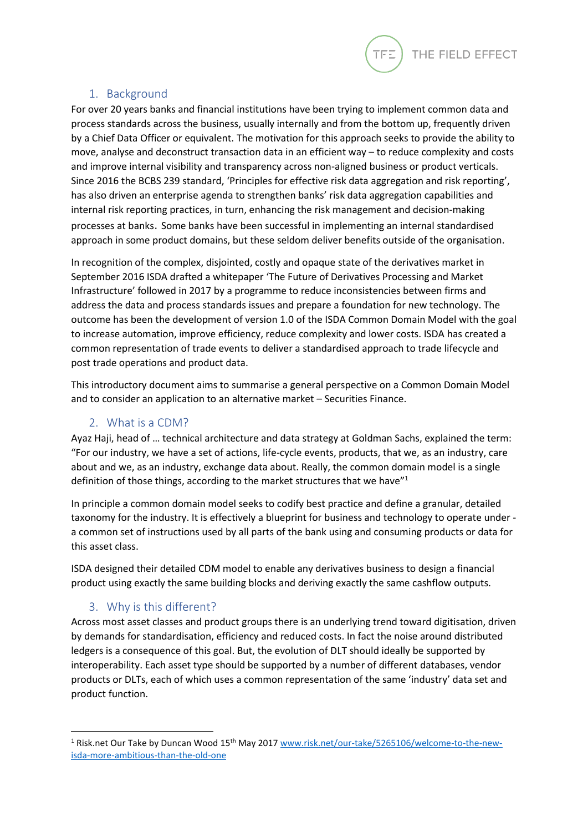

## 1. Background

<span id="page-2-0"></span>For over 20 years banks and financial institutions have been trying to implement common data and process standards across the business, usually internally and from the bottom up, frequently driven by a Chief Data Officer or equivalent. The motivation for this approach seeks to provide the ability to move, analyse and deconstruct transaction data in an efficient way – to reduce complexity and costs and improve internal visibility and transparency across non-aligned business or product verticals. Since 2016 the BCBS 239 standard, 'Principles for effective risk data aggregation and risk reporting', has also driven an enterprise agenda to strengthen banks' risk data aggregation capabilities and internal risk reporting practices, in turn, enhancing the risk management and decision-making processes at banks. Some banks have been successful in implementing an internal standardised approach in some product domains, but these seldom deliver benefits outside of the organisation.

In recognition of the complex, disjointed, costly and opaque state of the derivatives market in September 2016 ISDA drafted a whitepaper 'The Future of Derivatives Processing and Market Infrastructure' followed in 2017 by a programme to reduce inconsistencies between firms and address the data and process standards issues and prepare a foundation for new technology. The outcome has been the development of version 1.0 of the ISDA Common Domain Model with the goal to increase automation, improve efficiency, reduce complexity and lower costs. ISDA has created a common representation of trade events to deliver a standardised approach to trade lifecycle and post trade operations and product data.

This introductory document aims to summarise a general perspective on a Common Domain Model and to consider an application to an alternative market – Securities Finance.

#### 2. What is a CDM?

<span id="page-2-1"></span>Ayaz Haji, head of … technical architecture and data strategy at Goldman Sachs, explained the term: "For our industry, we have a set of actions, life-cycle events, products, that we, as an industry, care about and we, as an industry, exchange data about. Really, the common domain model is a single definition of those things, according to the market structures that we have"<sup>1</sup>

In principle a common domain model seeks to codify best practice and define a granular, detailed taxonomy for the industry. It is effectively a blueprint for business and technology to operate under a common set of instructions used by all parts of the bank using and consuming products or data for this asset class.

ISDA designed their detailed CDM model to enable any derivatives business to design a financial product using exactly the same building blocks and deriving exactly the same cashflow outputs.

## 3. Why is this different?

1

<span id="page-2-2"></span>Across most asset classes and product groups there is an underlying trend toward digitisation, driven by demands for standardisation, efficiency and reduced costs. In fact the noise around distributed ledgers is a consequence of this goal. But, the evolution of DLT should ideally be supported by interoperability. Each asset type should be supported by a number of different databases, vendor products or DLTs, each of which uses a common representation of the same 'industry' data set and product function.

<sup>&</sup>lt;sup>1</sup> Risk.net Our Take by Duncan Wood 15<sup>th</sup> May 2017 [www.risk.net/our-take/5265106/welcome-to-the-new](http://www.risk.net/our-take/5265106/welcome-to-the-new-isda-more-ambitious-than-the-old-one)[isda-more-ambitious-than-the-old-one](http://www.risk.net/our-take/5265106/welcome-to-the-new-isda-more-ambitious-than-the-old-one)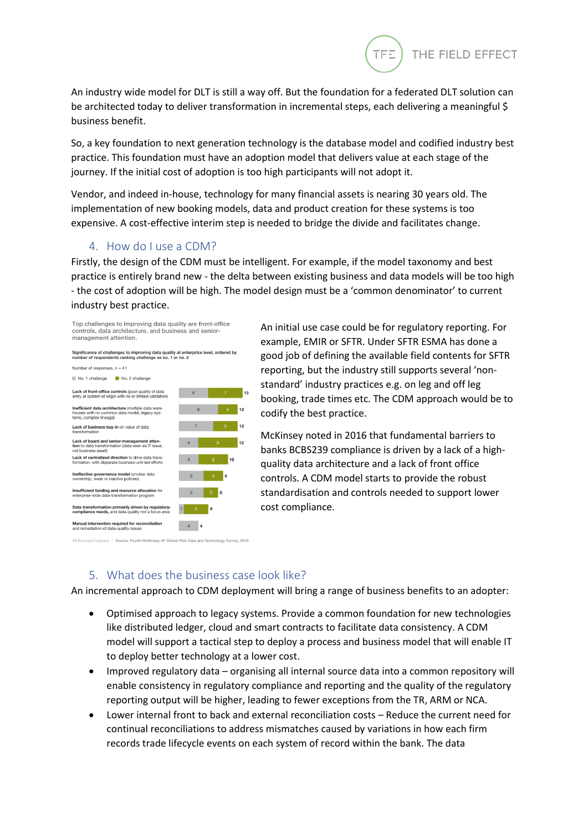An industry wide model for DLT is still a way off. But the foundation for a federated DLT solution can be architected today to deliver transformation in incremental steps, each delivering a meaningful \$ business benefit.

So, a key foundation to next generation technology is the database model and codified industry best practice. This foundation must have an adoption model that delivers value at each stage of the journey. If the initial cost of adoption is too high participants will not adopt it.

Vendor, and indeed in-house, technology for many financial assets is nearing 30 years old. The implementation of new booking models, data and product creation for these systems is too expensive. A cost-effective interim step is needed to bridge the divide and facilitates change.

#### 4. How do I use a CDM?

<span id="page-3-0"></span>Firstly, the design of the CDM must be intelligent. For example, if the model taxonomy and best practice is entirely brand new - the delta between existing business and data models will be too high - the cost of adoption will be high. The model design must be a 'common denominator' to current industry best practice.





An initial use case could be for regulatory reporting. For example, EMIR or SFTR. Under SFTR ESMA has done a good job of defining the available field contents for SFTR reporting, but the industry still supports several 'nonstandard' industry practices e.g. on leg and off leg booking, trade times etc. The CDM approach would be to codify the best practice.

エロニ

THE FIELD EFFECT

McKinsey noted in 2016 that fundamental barriers to banks BCBS239 compliance is driven by a lack of a highquality data architecture and a lack of front office controls. A CDM model starts to provide the robust standardisation and controls needed to support lower cost compliance.

#### 5. What does the business case look like?

<span id="page-3-1"></span>An incremental approach to CDM deployment will bring a range of business benefits to an adopter:

- Optimised approach to legacy systems. Provide a common foundation for new technologies like distributed ledger, cloud and smart contracts to facilitate data consistency. A CDM model will support a tactical step to deploy a process and business model that will enable IT to deploy better technology at a lower cost.
- Improved regulatory data organising all internal source data into a common repository will enable consistency in regulatory compliance and reporting and the quality of the regulatory reporting output will be higher, leading to fewer exceptions from the TR, ARM or NCA.
- Lower internal front to back and external reconciliation costs Reduce the current need for continual reconciliations to address mismatches caused by variations in how each firm records trade lifecycle events on each system of record within the bank. The data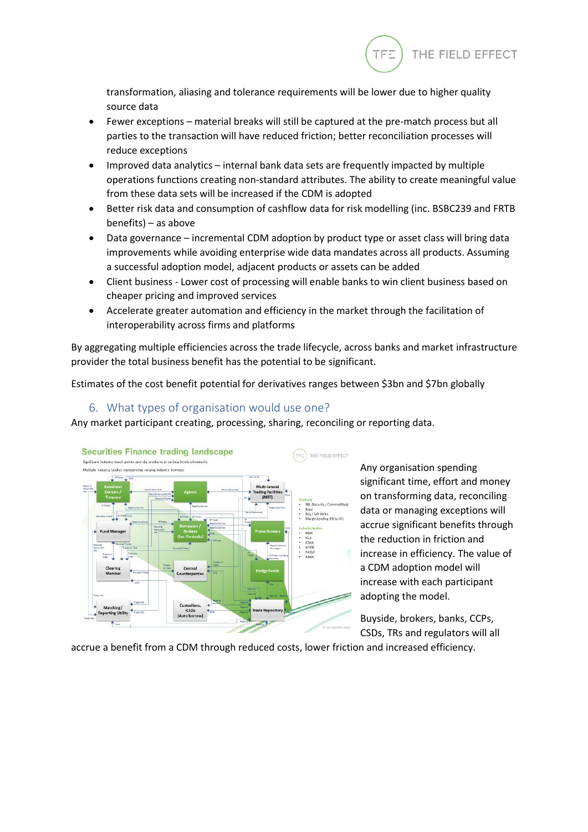

transformation, aliasing and tolerance requirements will be lower due to higher quality source data

- Fewer exceptions material breaks will still be captured at the pre-match process but all parties to the transaction will have reduced friction; better reconciliation processes will reduce exceptions
- Improved data analytics internal bank data sets are frequently impacted by multiple operations functions creating non-standard attributes. The ability to create meaningful value from these data sets will be increased if the CDM is adopted
- Better risk data and consumption of cashflow data for risk modelling (inc. BSBC239 and FRTB benefits) – as above
- Data governance incremental CDM adoption by product type or asset class will bring data improvements while avoiding enterprise wide data mandates across all products. Assuming a successful adoption model, adjacent products or assets can be added
- Client business Lower cost of processing will enable banks to win client business based on cheaper pricing and improved services
- Accelerate greater automation and efficiency in the market through the facilitation of interoperability across firms and platforms

By aggregating multiple efficiencies across the trade lifecycle, across banks and market infrastructure provider the total business benefit has the potential to be significant.

Estimates of the cost benefit potential for derivatives ranges between \$3bn and \$7bn globally

## 6. What types of organisation would use one?

<span id="page-4-0"></span>Any market participant creating, processing, sharing, reconciling or reporting data.



Any organisation spending significant time, effort and money on transforming data, reconciling data or managing exceptions will accrue significant benefits through the reduction in friction and increase in efficiency. The value of a CDM adoption model will increase with each participant adopting the model.

Buyside, brokers, banks, CCPs, CSDs, TRs and regulators will all

accrue a benefit from a CDM through reduced costs, lower friction and increased efficiency.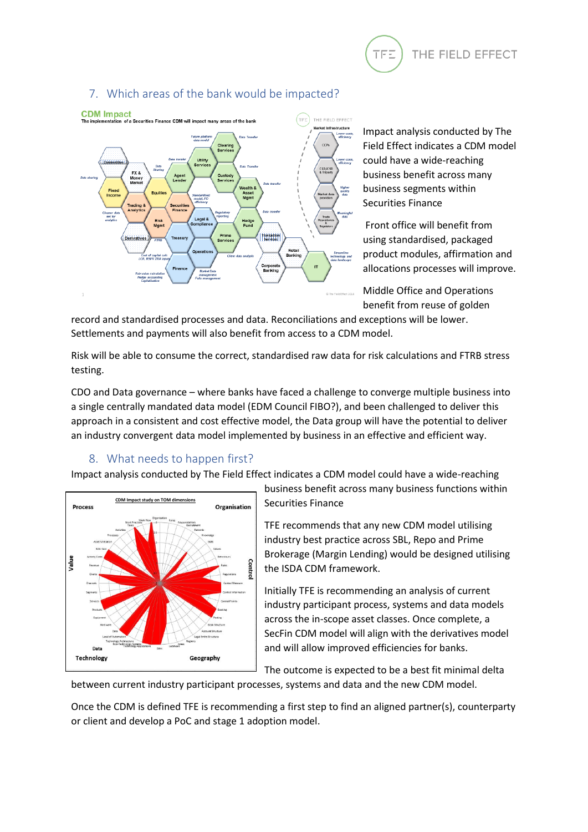

## 7. Which areas of the bank would be impacted?

<span id="page-5-0"></span>

Impact analysis conducted by The Field Effect indicates a CDM model could have a wide-reaching business benefit across many business segments within Securities Finance

Front office will benefit from using standardised, packaged product modules, affirmation and allocations processes will improve.

Middle Office and Operations benefit from reuse of golden

record and standardised processes and data. Reconciliations and exceptions will be lower. Settlements and payments will also benefit from access to a CDM model.

Risk will be able to consume the correct, standardised raw data for risk calculations and FTRB stress testing.

CDO and Data governance – where banks have faced a challenge to converge multiple business into a single centrally mandated data model (EDM Council FIBO?), and been challenged to deliver this approach in a consistent and cost effective model, the Data group will have the potential to deliver an industry convergent data model implemented by business in an effective and efficient way.

# 8. What needs to happen first?

<span id="page-5-1"></span>Impact analysis conducted by The Field Effect indicates a CDM model could have a wide-reaching



business benefit across many business functions within Securities Finance

TFE recommends that any new CDM model utilising industry best practice across SBL, Repo and Prime Brokerage (Margin Lending) would be designed utilising the ISDA CDM framework.

Initially TFE is recommending an analysis of current industry participant process, systems and data models across the in-scope asset classes. Once complete, a SecFin CDM model will align with the derivatives model and will allow improved efficiencies for banks.

The outcome is expected to be a best fit minimal delta

between current industry participant processes, systems and data and the new CDM model.

Once the CDM is defined TFE is recommending a first step to find an aligned partner(s), counterparty or client and develop a PoC and stage 1 adoption model.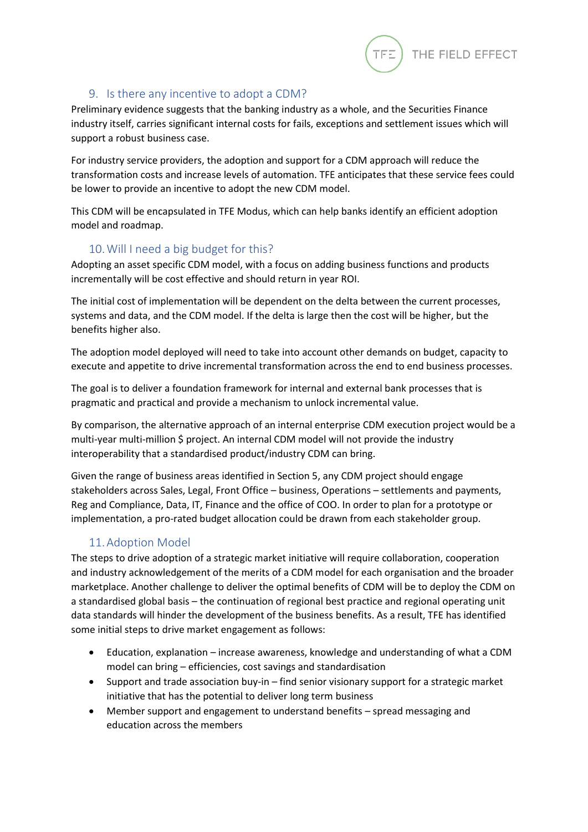

## 9. Is there any incentive to adopt a CDM?

<span id="page-6-0"></span>Preliminary evidence suggests that the banking industry as a whole, and the Securities Finance industry itself, carries significant internal costs for fails, exceptions and settlement issues which will support a robust business case.

For industry service providers, the adoption and support for a CDM approach will reduce the transformation costs and increase levels of automation. TFE anticipates that these service fees could be lower to provide an incentive to adopt the new CDM model.

This CDM will be encapsulated in TFE Modus, which can help banks identify an efficient adoption model and roadmap.

# 10.Will I need a big budget for this?

<span id="page-6-1"></span>Adopting an asset specific CDM model, with a focus on adding business functions and products incrementally will be cost effective and should return in year ROI.

The initial cost of implementation will be dependent on the delta between the current processes, systems and data, and the CDM model. If the delta is large then the cost will be higher, but the benefits higher also.

The adoption model deployed will need to take into account other demands on budget, capacity to execute and appetite to drive incremental transformation across the end to end business processes.

The goal is to deliver a foundation framework for internal and external bank processes that is pragmatic and practical and provide a mechanism to unlock incremental value.

By comparison, the alternative approach of an internal enterprise CDM execution project would be a multi-year multi-million \$ project. An internal CDM model will not provide the industry interoperability that a standardised product/industry CDM can bring.

Given the range of business areas identified in Section 5, any CDM project should engage stakeholders across Sales, Legal, Front Office – business, Operations – settlements and payments, Reg and Compliance, Data, IT, Finance and the office of COO. In order to plan for a prototype or implementation, a pro-rated budget allocation could be drawn from each stakeholder group.

## 11.Adoption Model

<span id="page-6-2"></span>The steps to drive adoption of a strategic market initiative will require collaboration, cooperation and industry acknowledgement of the merits of a CDM model for each organisation and the broader marketplace. Another challenge to deliver the optimal benefits of CDM will be to deploy the CDM on a standardised global basis – the continuation of regional best practice and regional operating unit data standards will hinder the development of the business benefits. As a result, TFE has identified some initial steps to drive market engagement as follows:

- Education, explanation increase awareness, knowledge and understanding of what a CDM model can bring – efficiencies, cost savings and standardisation
- Support and trade association buy-in find senior visionary support for a strategic market initiative that has the potential to deliver long term business
- Member support and engagement to understand benefits spread messaging and education across the members